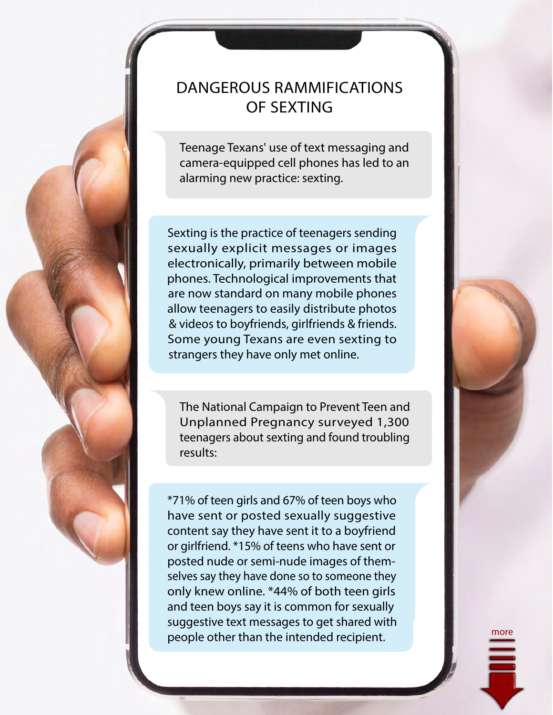## DANGEROUS RAMMIFICATIONS OF SEXTING

Teenage Texans' use of text messaging and camera-equipped cell phones has led to an alarming new practice: sexting.

Sexting is the practice of teenagers sending sexually explicit messages or images electronically, primarily between mobile phones. Technological improvements that are now standard on many mobile phones allow teenagers to easily distribute photos & videos to boyfriends, girlfriends & friends. Some young Texans are even sexting to strangers they have only met online.

The National Campaign to Prevent Teen and Unplanned Pregnancy surveyed 1,300 teenagers about sexting and found troubling results:

\*71% of teen girls and 67% of teen boys who have sent or posted sexually suggestive content say they have sent it to a boyfriend or girlfriend. \*15% of teens who have sent or posted nude or semi-nude images of themselves say they have done so to someone they only knew online. \*44% of both teen girls and teen boys say it is common for sexually suggestive text messages to get shared with people other than the intended recipient.